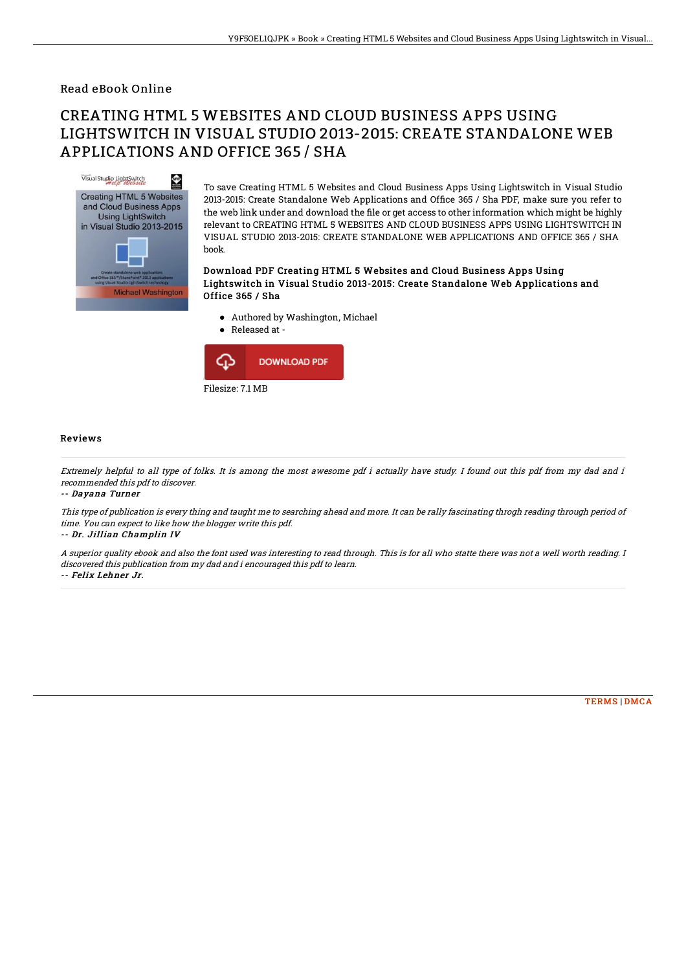### Read eBook Online

# CREATING HTML 5 WEBSITES AND CLOUD BUSINESS APPS USING LIGHTSWITCH IN VISUAL STUDIO 2013-2015: CREATE STANDALONE WEB APPLICATIONS AND OFFICE 365 / SHA



To save Creating HTML 5 Websites and Cloud Business Apps Using Lightswitch in Visual Studio 2013-2015: Create Standalone Web Applications and Office 365 / Sha PDF, make sure you refer to the web link under and download the file or get access to other information which might be highly relevant to CREATING HTML 5 WEBSITES AND CLOUD BUSINESS APPS USING LIGHTSWITCH IN VISUAL STUDIO 2013-2015: CREATE STANDALONE WEB APPLICATIONS AND OFFICE 365 / SHA book.

#### Download PDF Creating HTML 5 Websites and Cloud Business Apps Using Lightswitch in Visual Studio 2013-2015: Create Standalone Web Applications and Office 365 / Sha

- Authored by Washington, Michael
- Released at  $\bullet$



#### Reviews

Extremely helpful to all type of folks. It is among the most awesome pdf i actually have study. I found out this pdf from my dad and i recommended this pdf to discover.

-- Dayana Turner

This type of publication is every thing and taught me to searching ahead and more. It can be rally fascinating throgh reading through period of time. You can expect to like how the blogger write this pdf.

-- Dr. Jillian Champlin IV

A superior quality ebook and also the font used was interesting to read through. This is for all who statte there was not <sup>a</sup> well worth reading. I discovered this publication from my dad and i encouraged this pdf to learn. -- Felix Lehner Jr.